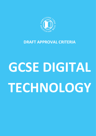

# **DRAFT APPROVAL CRITERIA**

# **GCSE DIGITAL TECHNOLOGY**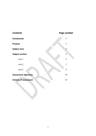| <b>Contents</b>              | Page number    |
|------------------------------|----------------|
| <b>Introduction</b>          | $\overline{2}$ |
| <b>Purpose</b>               | 3              |
| <b>Subject aims</b>          | $\overline{4}$ |
| <b>Subject content</b>       | 4              |
| Unit 1                       | 5              |
| Unit 2                       | $\overline{7}$ |
| Unit 3                       | 9              |
| <b>Assessment objectives</b> | 10             |
| <b>Scheme of assessment</b>  | 10             |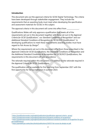#### **Introduction**

**.** 

This document sets out the approval criteria for GCSE Digital Technology. The criteria have been developed through stakeholder engagement. They include the requirements that an awarding body must meet when developing the specification and assessment materials for GCSEs in this subject.

The approval criteria in this document will come into effect from \_\_\_\_\_\_\_\_\_\_\_\_\_\_

Qualifications Wales will only approve a qualification that meets all of the requirements set out in this document together with those set out in the *Approval Criteria for GCSE Qualifications<sup>1</sup>* , our *Standard Conditions of Recognition<sup>2</sup>* and our *Additional Standard Conditions of Recognition for GCSE/GCE Qualifications<sup>3</sup>* . In developing qualifications to meet these requirements awarding bodies must have regard to *Fair Access by Design<sup>4</sup>* .

Where the requirements set out in this document differ from those prescribed in the *Approval Criteria for GCSE Qualifications*, the *Standards Conditions of Recognition* and the *Additional Standard Conditions of Recognition for GCSE/GCE Qualifications*, the requirements in this document will take precedence.

The rationale required within this document is in addition to the rationale required in the *Approval Criteria for GCSE Qualifications*.

The qualification will be available for first teaching from September 2021 with the first opportunity for full accreditation in summer 2023.

<sup>1</sup> <https://qualificationswales.org/english/publications/qualification-approval-criteria---gcses/>

<sup>2</sup> <https://qualificationswales.org/english/publications/standard-conditions-of-recognition/>

<sup>3</sup> [https://qualificationswales.org/english/publications/additional-standard-conditions-of-recognition-for-gcse](https://qualificationswales.org/english/publications/additional-standard-conditions-of-recognition-for-gcse-gce-qualifications/)[gce-qualifications/](https://qualificationswales.org/english/publications/additional-standard-conditions-of-recognition-for-gcse-gce-qualifications/)

<sup>4</sup> <https://gweddill.gov.wales/docs/dcells/publications/150727-fair-access-by-design-en.pdf>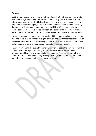# **Purpose**

GCSE Digital Technology will be a broad-based qualification that allows learners to build on the digital skills, knowledge and understanding that is used both in their school and everyday lives. It will allow learners to develop an understanding of the range of digital technology systems at use in our connected and globalised society, the ways in which they are connected, the possibilities offered to them by digital technologies, as individuals and as members of organisations, the ways in which these systems can be used safely and of the ever-evolving nature of these systems.

The qualification will allow learners to develop skills in understanding and analysing data and in developing a range of digital products and assets that meet the needs of audiences and users, as well as allowing learners to explore the ways in which digital technologies change and enhance communications between people.

The qualification may be taken by learners who wish to begin their journey towards a career that utilises digital technologies or to progress onto advanced level programmes of learning involving digital technologies. The qualification will offer choice to both learners, in how they develop their digital skills, and centres, who may have different resources and skills amongst their staff.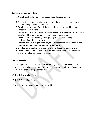# **Subject aims and objectives**

- 1. The GCSE Digital Technology specification should ensure learners:
	- 1.1. Become independent, confident and knowledgeable users of existing, new and emerging digital technologies;
	- 1.2. Develop a knowledge of the digital technology systems used by a wide variety of organisations;
	- 1.3. Understand the impact digital technologies can have on individuals and wider society and the ways in which they can bring about change;
	- 1.4. Develop skills in researching and exploring issues before finding and implementing solutions to them;
	- 1.5. Become creators of digital products, in a variety of formats and for a variety of purposes, that meet specified, authentic needs;
	- 1.6. Develop transferable skills in using a range of hardware and software;
	- 1.7. Develop their understanding of the systems development life cycle (SDLC) and of how ideas can become products.

# **Subject content**

- 2. The subject content of GCSE Digital Technology specifications must meet the subject aims and objectives and include the knowledge, understanding and skills set out for each unit in paragraph 3.
- 2.1 **Unit 1:** The Digital World
- 2.2 **Unit 2:** Digital Practices
- 2.3 **Unit 3:** Communicating in the Digital World.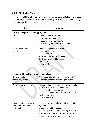# **Unit 1 – The Digital World**

3. In Unit 1, GCSE Digital Technology specifications must enable learners to develop knowledge and understanding in the following topic areas, and the following content must be included:

| <b>Topics</b>                                | Content                                                                                                                                                                           |
|----------------------------------------------|-----------------------------------------------------------------------------------------------------------------------------------------------------------------------------------|
| <b>Section A: Digital Technology Systems</b> |                                                                                                                                                                                   |
| Data                                         | Analogue and digital data.<br>Binary representation.<br>Measuring and storing data.<br>Transmitting data through networks.                                                        |
| Digital technology<br>systems                | Digital devices and means of:<br>interaction;<br>connection.<br>$\bigcap$<br>Operating systems and functions.<br>Software types and functions.<br>Data backup.<br>Cloud services. |

| <b>Section B: The Value of Digital Technology</b>                |                                                                                                                                                                                                                                                                        |
|------------------------------------------------------------------|------------------------------------------------------------------------------------------------------------------------------------------------------------------------------------------------------------------------------------------------------------------------|
| Utilising digital<br>technology systems                          | The systems development life cycle (SDLC).<br>Adoption of digital technology systems.                                                                                                                                                                                  |
| Digital communications                                           | Range of digital communication methods for<br>personal, social and business uses.<br>Reliability of online sources.<br>Social networking practices and ownership.<br>Digital footprints.<br>Privacy and trust.                                                         |
| Impact of digital systems<br>on organisations and<br>individuals | Efficiencies and benefits provided by digital<br>$\bullet$<br>systems.<br>Changing working practices.<br>$\bullet$<br>Changing relationships between producers,<br>$\bullet$<br>manufacturers, distributers and consumers.<br>Rise of services and monetising content. |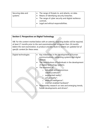| Securing data and | • The range of threats to, and attacks, on data.                                                         |
|-------------------|----------------------------------------------------------------------------------------------------------|
| systems           | Means of identifying security breaches.                                                                  |
|                   | • The range of cyber security and digital resilience<br>controls.<br>Legal and ethical responsibilities. |

# **Section C: Perspectives on Digital Technology**

*NB: For the content marked below with an asterisk, awarding bodies will be required, at least 21 months prior to the next examination but no sooner than 24 months before the next examination, to produce and distribute to centres an updated list of specific content for these areas.* 

| Digital technologies | Key milestones in the development of human<br>communications, computing systems and digital<br>devices.<br>The contributions of individuals in the development<br>of digital technology systems.<br>The evolution of:<br>$\circ$ industrial and autonomous<br>robotics/vehicles*;<br>augmented reality*;<br>$\circ$<br>virtual reality*;<br>$\circ$<br>artificial intelligence*;<br>$\circ$<br>internet-enabled hardware*.<br>Noteworthy research on new and emerging trends,<br>future developments and drivers*. |
|----------------------|--------------------------------------------------------------------------------------------------------------------------------------------------------------------------------------------------------------------------------------------------------------------------------------------------------------------------------------------------------------------------------------------------------------------------------------------------------------------------------------------------------------------|
|                      |                                                                                                                                                                                                                                                                                                                                                                                                                                                                                                                    |
|                      |                                                                                                                                                                                                                                                                                                                                                                                                                                                                                                                    |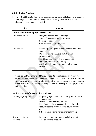# **Unit 2 – Digital Practices**

4. In Unit 2, GCSE Digital Technology specifications must enable learners to develop knowledge, skills and understanding in the following topic areas, and the following content must be included:

| <b>Topics</b>                                    | <b>Content</b>                                                                                                                                                                                                                                                             |
|--------------------------------------------------|----------------------------------------------------------------------------------------------------------------------------------------------------------------------------------------------------------------------------------------------------------------------------|
| <b>Section A: Interrogating Spreadsheet Data</b> |                                                                                                                                                                                                                                                                            |
| Data organisation                                | Data, information and knowledge.<br>Types of data and their characteristics.<br>Sources of data.<br>Cleansing and organising data.                                                                                                                                         |
| Data analytics                                   | Searching, sorting and filtering data in single-table<br>sets.<br>Descriptive data analytics: statistics and<br>visualisation.<br>Identifying trends, needs and audiences.<br>Data-informed decision making.<br>Applications in business, culture, science and<br>society. |

5. In **Section B: Data-informed Digital Products**, specifications must require learners to plan, develop and evaluate a digital product that is accessible through a web browser (which may include, but is not limited to, animations, video games or web-based applications) by requiring learners to develop knowledge, skills and understanding in:

| <b>Section B: Data-informed Digital Products</b> |                                                                                                                                                                                                                                                                                                                                |  |
|--------------------------------------------------|--------------------------------------------------------------------------------------------------------------------------------------------------------------------------------------------------------------------------------------------------------------------------------------------------------------------------------|--|
| Planning digital products                        | Proposing digital products to satisfy trends, needs<br>$\bullet$<br>or audiences.<br>Evaluating and selecting designs.<br>$\bullet$<br>Planning technical aspects of designs (including<br>$\bullet$<br>resource aspects, visual aspects, sound aspects,<br>$etc.$ ).<br>Scheduling and time management planning.<br>$\bullet$ |  |
| Developing digital<br>products                   | Develop and use appropriate technical skills to<br>develop a digital product.                                                                                                                                                                                                                                                  |  |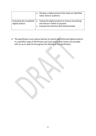|                                              | Develop a digital product that meets an identified<br>need, trend or audience.                                                                    |
|----------------------------------------------|---------------------------------------------------------------------------------------------------------------------------------------------------|
| Evaluating the completed<br>digital product. | Testing the digital product to remove errors/bugs<br>$\bullet$<br>and ensure it meets its purpose.<br>Evaluate the technical skills demonstrated. |

6. The specification must require learners to submit data-informed digital products in a specified range of file formats and must ensure that centres are provided with an up-to-date list throughout the lifetime of the specification.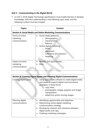# **Unit 3 – Communicating in the Digital World**

7. In Unit 3, GCSE Digital Technology specifications must enable learners to develop knowledge, skills and understanding in the following topic areas, and the following content must be included:

| <b>Topics</b>                                   | Content                                                                                                                                                                                                                                                               |
|-------------------------------------------------|-----------------------------------------------------------------------------------------------------------------------------------------------------------------------------------------------------------------------------------------------------------------------|
|                                                 | <b>Section A: Social Media and Online Marketing Communications</b>                                                                                                                                                                                                    |
| Forms of online<br>marketing<br>communications  | Social media platforms:<br>$\bullet$<br>demographics;<br>$\circ$<br>characteristics;<br>$\Omega$<br>features.<br>$\bigcap$<br>Online digital marketing:<br>forms;<br>$\circ$<br>placement;<br>$\circ$<br>coherence and cohesion;<br>$\Omega$<br>targeting.<br>$\circ$ |
| Impact of online<br>marketing<br>communications | Benefits and opportunities.<br>$\bullet$<br>Risks.                                                                                                                                                                                                                    |

| <b>Section B: Creating Digital Assets and Planning Digital Communications</b> |                                                                                                                                                                                                                                                                 |  |
|-------------------------------------------------------------------------------|-----------------------------------------------------------------------------------------------------------------------------------------------------------------------------------------------------------------------------------------------------------------|--|
| Creating digital assets                                                       | Using appropriate software to create digital media<br>and assets to support digital communications<br>strategies, in these forms:<br>copy (text);<br>$\circ$<br>photographs, images, graphics and image<br>manipulation;<br>o edited live-action moving images. |  |
| Planning digital<br>communications                                            | Identifying opportunities and objectives.<br>Determining online digital marketing<br>communications strategy.<br>Developing cohesion and coherence between<br>$\bullet$<br>digital assets and copy.<br>Finalising marketing campaigns.                          |  |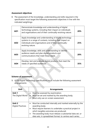# **Assessment objectives**

8. The assessment of the knowledge, understanding and skills required in the specification must target the following assessment objectives in line with the indicated weightings:

| <b>AO1</b> | Demonstrate knowledge and understanding of digital<br>technology systems, including their impact on individuals<br>and organisations and of their continually-evolving nature.                      | 20% |
|------------|-----------------------------------------------------------------------------------------------------------------------------------------------------------------------------------------------------|-----|
| <b>AO2</b> | Apply knowledge and understanding of digital technology<br>systems in a range of contexts, including their impact on<br>individuals and organisations and of their continually-<br>evolving nature. | 25% |
| <b>AO3</b> | Apply knowledge, skills and understanding to identify<br>audience needs and plan digital products and<br>communications that meet these needs.                                                      | 20% |
| <b>AO4</b> | Develop, test and evaluate digital products that meet the<br>needs of specified audiences.                                                                                                          | 35% |

#### **Scheme of assessment**

9. GCSE Digital Technology specifications must include the following assessment arrangements:

| <b>Unit</b>                        | <b>Arrangements</b>                                                                                                                                                                                                                                                                                         |
|------------------------------------|-------------------------------------------------------------------------------------------------------------------------------------------------------------------------------------------------------------------------------------------------------------------------------------------------------------|
| Unit 1<br>The Digital World        | Must be assessed by examination;<br>Must be set and marked by the awarding body;<br>Must only use on-screen assessment.                                                                                                                                                                                     |
| Unit 2<br><b>Digital Practices</b> | Must be conducted internally and marked externally by the<br>awarding body;<br>Must require learners to undertake a practical project in<br>which tangible outcomes are produced;<br>The awarding body must release a substantial data set, or<br>data sets, in spreadsheet format, to centres each series; |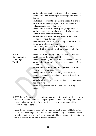|                                                           | Must require learners to identify an audience, an audience<br>$\bullet$<br>need or a trend by analysing an awarding body-released<br>data set;<br>Must require learners to plan a digital product, in one of<br>$\bullet$<br>the forms specified in paragraph 4, for the identified<br>audience, audience need or trend;<br>Must require learners to develop a digital product, or<br>products, in the form they have selected, tailored to the<br>audience, need or trend identified;<br>Must require learners to test and evaluate the digital<br>product they have developed;<br>Must allow learners to submit their digital products in the<br>file format in which it was created;<br>The awarding body must issue to centres a list of<br>$\bullet$<br>acceptable file formats in which work may be submitted. |
|-----------------------------------------------------------|----------------------------------------------------------------------------------------------------------------------------------------------------------------------------------------------------------------------------------------------------------------------------------------------------------------------------------------------------------------------------------------------------------------------------------------------------------------------------------------------------------------------------------------------------------------------------------------------------------------------------------------------------------------------------------------------------------------------------------------------------------------------------------------------------------------------|
| <b>Unit 3</b><br>Communicating<br>in the Digital<br>World | Must be assessed through non-examination assessment;<br>$\bullet$<br>Must be set by the awarding body;<br>$\bullet$<br>Must be marked by the centre and externally moderated;<br>$\bullet$<br>Must require the awarding body to issue annual briefs to<br>$\bullet$<br>centres;<br>Must require learners to plan and create an online digital<br>communications campaign;<br>Must require learners to create digital assets for the<br>marketing campaign, including images and live-action<br>moving images;<br>Must allow learners to present their findings in a variety of<br>$\bullet$<br>digital formats;<br>Must not require learners to publish their campaigns<br>online.                                                                                                                                   |

- 10. GCSE Digital Technology specifications must set out the way in which changes or revision to content identified as requiring annual updates in paragraph 3 (Unit 1 – The Digital World), section C (Perspectives on Digital Technology) will be communicated to centres.
- 11. GCSE Digital Technology specifications must set out the range of file formats in which candidates' digital products, created for Unit 2 – Digital Practices, may be submitted and the way in which any changes to this list throughout the lifetime of the qualification will be communicated to centres.